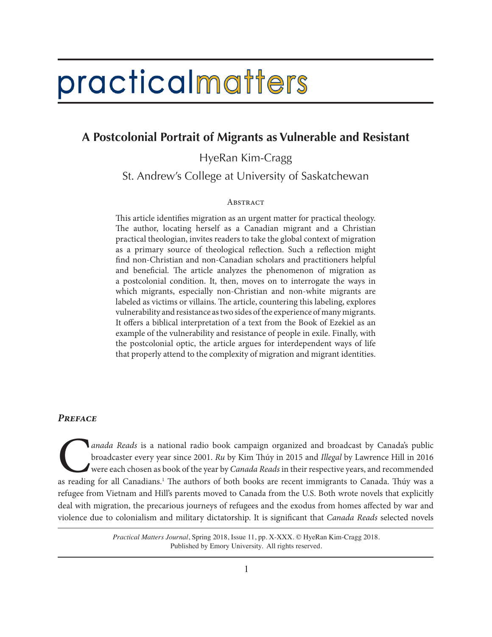# practicalmatters

# **A Postcolonial Portrait of Migrants as Vulnerable and Resistant**

HyeRan Kim-Cragg

St. Andrew's College at University of Saskatchewan

#### **ABSTRACT**

This article identifies migration as an urgent matter for practical theology. The author, locating herself as a Canadian migrant and a Christian practical theologian, invites readers to take the global context of migration as a primary source of theological reflection. Such a reflection might find non-Christian and non-Canadian scholars and practitioners helpful and beneficial. The article analyzes the phenomenon of migration as a postcolonial condition. It, then, moves on to interrogate the ways in which migrants, especially non-Christian and non-white migrants are labeled as victims or villains. The article, countering this labeling, explores vulnerability and resistance as two sides of the experience of many migrants. It offers a biblical interpretation of a text from the Book of Ezekiel as an example of the vulnerability and resistance of people in exile. Finally, with the postcolonial optic, the article argues for interdependent ways of life that properly attend to the complexity of migration and migrant identities.

#### *Preface*

*Canada Reads* is a national radio book campaign organized and broadcast by Canada's public broadcaster every year since 2001. *Ru* by Kim Thúy in 2015 and *Illegal* by Lawrence Hill in 2016 were each chosen as book of the broadcaster every year since 2001. *Ru* by Kim Thúy in 2015 and *Illegal* by Lawrence Hill in 2016 were each chosen as book of the year by *Canada Reads* in their respective years, and recommended as reading for all Canadians.<sup>1</sup> The authors of both books are recent immigrants to Canada. Thúy was a refugee from Vietnam and Hill's parents moved to Canada from the U.S. Both wrote novels that explicitly deal with migration, the precarious journeys of refugees and the exodus from homes affected by war and violence due to colonialism and military dictatorship. It is significant that *Canada Reads* selected novels

> *Practical Matters Journal*, Spring 2018, Issue 11, pp. X-XXX. © HyeRan Kim-Cragg 2018. Published by Emory University. All rights reserved.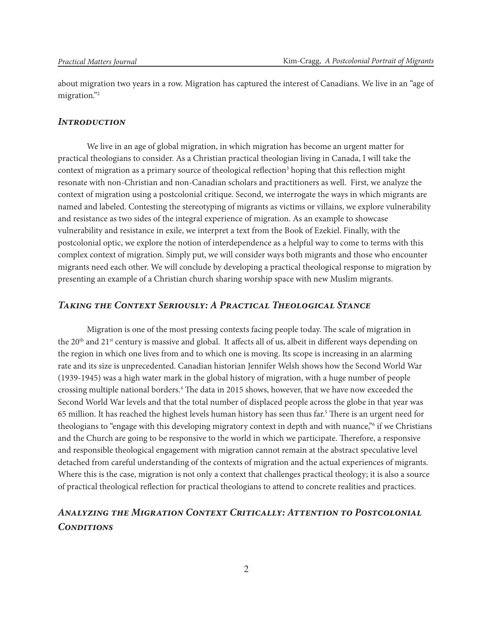about migration two years in a row. Migration has captured the interest of Canadians. We live in an "age of migration."2

#### *Introduction*

We live in an age of global migration, in which migration has become an urgent matter for practical theologians to consider. As a Christian practical theologian living in Canada, I will take the context of migration as a primary source of theological reflection<sup>3</sup> hoping that this reflection might resonate with non-Christian and non-Canadian scholars and practitioners as well. First, we analyze the context of migration using a postcolonial critique. Second, we interrogate the ways in which migrants are named and labeled. Contesting the stereotyping of migrants as victims or villains, we explore vulnerability and resistance as two sides of the integral experience of migration. As an example to showcase vulnerability and resistance in exile, we interpret a text from the Book of Ezekiel. Finally, with the postcolonial optic, we explore the notion of interdependence as a helpful way to come to terms with this complex context of migration. Simply put, we will consider ways both migrants and those who encounter migrants need each other. We will conclude by developing a practical theological response to migration by presenting an example of a Christian church sharing worship space with new Muslim migrants.

## *Taking the Context Seriously: A Practical Theological Stance*

Migration is one of the most pressing contexts facing people today. The scale of migration in the 20<sup>th</sup> and 21<sup>st</sup> century is massive and global. It affects all of us, albeit in different ways depending on the region in which one lives from and to which one is moving. Its scope is increasing in an alarming rate and its size is unprecedented. Canadian historian Jennifer Welsh shows how the Second World War (1939-1945) was a high water mark in the global history of migration, with a huge number of people crossing multiple national borders.4 The data in 2015 shows, however, that we have now exceeded the Second World War levels and that the total number of displaced people across the globe in that year was 65 million. It has reached the highest levels human history has seen thus far.<sup>5</sup> There is an urgent need for theologians to "engage with this developing migratory context in depth and with nuance,"<sup>6</sup> if we Christians and the Church are going to be responsive to the world in which we participate. Therefore, a responsive and responsible theological engagement with migration cannot remain at the abstract speculative level detached from careful understanding of the contexts of migration and the actual experiences of migrants. Where this is the case, migration is not only a context that challenges practical theology; it is also a source of practical theological reflection for practical theologians to attend to concrete realities and practices.

# *Analyzing the Migration Context Critically: Attention to Postcolonial Conditions*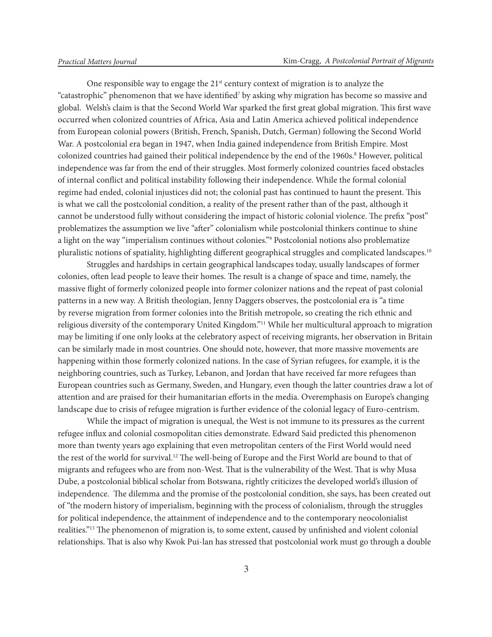One responsible way to engage the 21<sup>st</sup> century context of migration is to analyze the "catastrophic" phenomenon that we have identified<sup>7</sup> by asking why migration has become so massive and global. Welsh's claim is that the Second World War sparked the first great global migration. This first wave occurred when colonized countries of Africa, Asia and Latin America achieved political independence from European colonial powers (British, French, Spanish, Dutch, German) following the Second World War. A postcolonial era began in 1947, when India gained independence from British Empire. Most colonized countries had gained their political independence by the end of the 1960s.<sup>8</sup> However, political independence was far from the end of their struggles. Most formerly colonized countries faced obstacles of internal conflict and political instability following their independence. While the formal colonial regime had ended, colonial injustices did not; the colonial past has continued to haunt the present. This is what we call the postcolonial condition, a reality of the present rather than of the past, although it cannot be understood fully without considering the impact of historic colonial violence. The prefix "post" problematizes the assumption we live "after" colonialism while postcolonial thinkers continue to shine a light on the way "imperialism continues without colonies."9 Postcolonial notions also problematize pluralistic notions of spatiality, highlighting different geographical struggles and complicated landscapes.10

Struggles and hardships in certain geographical landscapes today, usually landscapes of former colonies, often lead people to leave their homes. The result is a change of space and time, namely, the massive flight of formerly colonized people into former colonizer nations and the repeat of past colonial patterns in a new way. A British theologian, Jenny Daggers observes, the postcolonial era is "a time by reverse migration from former colonies into the British metropole, so creating the rich ethnic and religious diversity of the contemporary United Kingdom."11 While her multicultural approach to migration may be limiting if one only looks at the celebratory aspect of receiving migrants, her observation in Britain can be similarly made in most countries. One should note, however, that more massive movements are happening within those formerly colonized nations. In the case of Syrian refugees, for example, it is the neighboring countries, such as Turkey, Lebanon, and Jordan that have received far more refugees than European countries such as Germany, Sweden, and Hungary, even though the latter countries draw a lot of attention and are praised for their humanitarian efforts in the media. Overemphasis on Europe's changing landscape due to crisis of refugee migration is further evidence of the colonial legacy of Euro-centrism.

While the impact of migration is unequal, the West is not immune to its pressures as the current refugee influx and colonial cosmopolitan cities demonstrate. Edward Said predicted this phenomenon more than twenty years ago explaining that even metropolitan centers of the First World would need the rest of the world for survival.12 The well-being of Europe and the First World are bound to that of migrants and refugees who are from non-West. That is the vulnerability of the West. That is why Musa Dube, a postcolonial biblical scholar from Botswana, rightly criticizes the developed world's illusion of independence. The dilemma and the promise of the postcolonial condition, she says, has been created out of "the modern history of imperialism, beginning with the process of colonialism, through the struggles for political independence, the attainment of independence and to the contemporary neocolonialist realities."13 The phenomenon of migration is, to some extent, caused by unfinished and violent colonial relationships. That is also why Kwok Pui-lan has stressed that postcolonial work must go through a double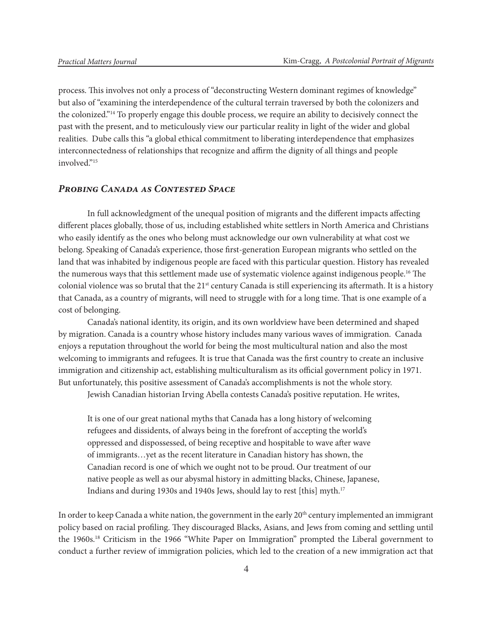process. This involves not only a process of "deconstructing Western dominant regimes of knowledge" but also of "examining the interdependence of the cultural terrain traversed by both the colonizers and the colonized."14 To properly engage this double process, we require an ability to decisively connect the past with the present, and to meticulously view our particular reality in light of the wider and global realities. Dube calls this "a global ethical commitment to liberating interdependence that emphasizes interconnectedness of relationships that recognize and affirm the dignity of all things and people involved."15

#### *Probing Canada as Contested Space*

In full acknowledgment of the unequal position of migrants and the different impacts affecting different places globally, those of us, including established white settlers in North America and Christians who easily identify as the ones who belong must acknowledge our own vulnerability at what cost we belong. Speaking of Canada's experience, those first-generation European migrants who settled on the land that was inhabited by indigenous people are faced with this particular question. History has revealed the numerous ways that this settlement made use of systematic violence against indigenous people.16 The colonial violence was so brutal that the  $21<sup>st</sup>$  century Canada is still experiencing its aftermath. It is a history that Canada, as a country of migrants, will need to struggle with for a long time. That is one example of a cost of belonging.

Canada's national identity, its origin, and its own worldview have been determined and shaped by migration. Canada is a country whose history includes many various waves of immigration. Canada enjoys a reputation throughout the world for being the most multicultural nation and also the most welcoming to immigrants and refugees. It is true that Canada was the first country to create an inclusive immigration and citizenship act, establishing multiculturalism as its official government policy in 1971. But unfortunately, this positive assessment of Canada's accomplishments is not the whole story.

Jewish Canadian historian Irving Abella contests Canada's positive reputation. He writes,

It is one of our great national myths that Canada has a long history of welcoming refugees and dissidents, of always being in the forefront of accepting the world's oppressed and dispossessed, of being receptive and hospitable to wave after wave of immigrants…yet as the recent literature in Canadian history has shown, the Canadian record is one of which we ought not to be proud. Our treatment of our native people as well as our abysmal history in admitting blacks, Chinese, Japanese, Indians and during 1930s and 1940s Jews, should lay to rest [this] myth.17

In order to keep Canada a white nation, the government in the early 20<sup>th</sup> century implemented an immigrant policy based on racial profiling. They discouraged Blacks, Asians, and Jews from coming and settling until the 1960s.18 Criticism in the 1966 "White Paper on Immigration" prompted the Liberal government to conduct a further review of immigration policies, which led to the creation of a new immigration act that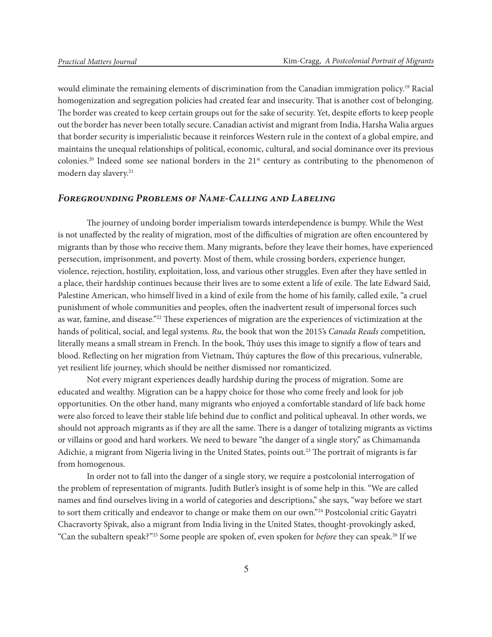would eliminate the remaining elements of discrimination from the Canadian immigration policy.<sup>19</sup> Racial homogenization and segregation policies had created fear and insecurity. That is another cost of belonging. The border was created to keep certain groups out for the sake of security. Yet, despite efforts to keep people out the border has never been totally secure. Canadian activist and migrant from India, Harsha Walia argues that border security is imperialistic because it reinforces Western rule in the context of a global empire, and maintains the unequal relationships of political, economic, cultural, and social dominance over its previous colonies.<sup>20</sup> Indeed some see national borders in the 21<sup>st</sup> century as contributing to the phenomenon of modern day slavery.<sup>21</sup>

### *Foregrounding Problems of Name-Calling and Labeling*

The journey of undoing border imperialism towards interdependence is bumpy. While the West is not unaffected by the reality of migration, most of the difficulties of migration are often encountered by migrants than by those who receive them. Many migrants, before they leave their homes, have experienced persecution, imprisonment, and poverty. Most of them, while crossing borders, experience hunger, violence, rejection, hostility, exploitation, loss, and various other struggles. Even after they have settled in a place, their hardship continues because their lives are to some extent a life of exile. The late Edward Said, Palestine American, who himself lived in a kind of exile from the home of his family, called exile, "a cruel punishment of whole communities and peoples, often the inadvertent result of impersonal forces such as war, famine, and disease."22 These experiences of migration are the experiences of victimization at the hands of political, social, and legal systems. *Ru*, the book that won the 2015's *Canada Reads* competition*,*  literally means a small stream in French. In the book, Thúy uses this image to signify a flow of tears and blood. Reflecting on her migration from Vietnam, Thúy captures the flow of this precarious, vulnerable, yet resilient life journey, which should be neither dismissed nor romanticized.

Not every migrant experiences deadly hardship during the process of migration. Some are educated and wealthy. Migration can be a happy choice for those who come freely and look for job opportunities. On the other hand, many migrants who enjoyed a comfortable standard of life back home were also forced to leave their stable life behind due to conflict and political upheaval. In other words, we should not approach migrants as if they are all the same. There is a danger of totalizing migrants as victims or villains or good and hard workers. We need to beware "the danger of a single story," as Chimamanda Adichie, a migrant from Nigeria living in the United States, points out.23 The portrait of migrants is far from homogenous.

In order not to fall into the danger of a single story, we require a postcolonial interrogation of the problem of representation of migrants. Judith Butler's insight is of some help in this. "We are called names and find ourselves living in a world of categories and descriptions," she says, "way before we start to sort them critically and endeavor to change or make them on our own."<sup>24</sup> Postcolonial critic Gayatri Chacravorty Spivak, also a migrant from India living in the United States, thought-provokingly asked, "Can the subaltern speak?"25 Some people are spoken of, even spoken for *before* they can speak.26 If we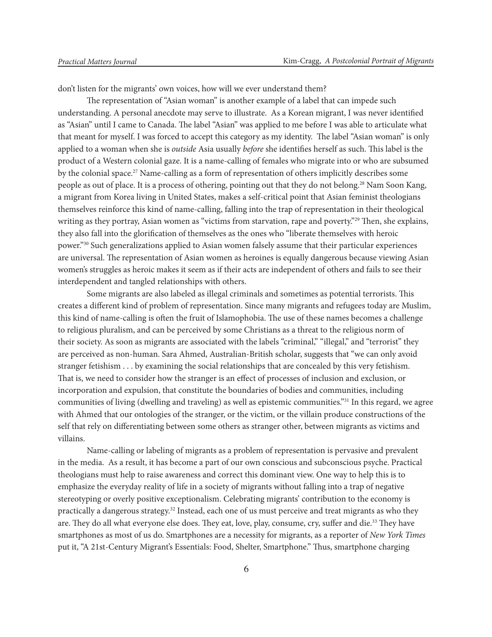don't listen for the migrants' own voices, how will we ever understand them?

The representation of "Asian woman" is another example of a label that can impede such understanding. A personal anecdote may serve to illustrate. As a Korean migrant, I was never identified as "Asian" until I came to Canada. The label "Asian" was applied to me before I was able to articulate what that meant for myself. I was forced to accept this category as my identity. The label "Asian woman" is only applied to a woman when she is *outside* Asia usually *before* she identifies herself as such. This label is the product of a Western colonial gaze. It is a name-calling of females who migrate into or who are subsumed by the colonial space.27 Name-calling as a form of representation of others implicitly describes some people as out of place. It is a process of othering, pointing out that they do not belong.<sup>28</sup> Nam Soon Kang, a migrant from Korea living in United States, makes a self-critical point that Asian feminist theologians themselves reinforce this kind of name-calling, falling into the trap of representation in their theological writing as they portray, Asian women as "victims from starvation, rape and poverty."<sup>29</sup> Then, she explains, they also fall into the glorification of themselves as the ones who "liberate themselves with heroic power."30 Such generalizations applied to Asian women falsely assume that their particular experiences are universal. The representation of Asian women as heroines is equally dangerous because viewing Asian women's struggles as heroic makes it seem as if their acts are independent of others and fails to see their interdependent and tangled relationships with others.

Some migrants are also labeled as illegal criminals and sometimes as potential terrorists. This creates a different kind of problem of representation. Since many migrants and refugees today are Muslim, this kind of name-calling is often the fruit of Islamophobia. The use of these names becomes a challenge to religious pluralism, and can be perceived by some Christians as a threat to the religious norm of their society. As soon as migrants are associated with the labels "criminal," "illegal," and "terrorist" they are perceived as non-human. Sara Ahmed, Australian-British scholar, suggests that "we can only avoid stranger fetishism . . . by examining the social relationships that are concealed by this very fetishism. That is, we need to consider how the stranger is an effect of processes of inclusion and exclusion, or incorporation and expulsion, that constitute the boundaries of bodies and communities, including communities of living (dwelling and traveling) as well as epistemic communities."31 In this regard, we agree with Ahmed that our ontologies of the stranger, or the victim, or the villain produce constructions of the self that rely on differentiating between some others as stranger other, between migrants as victims and villains.

Name-calling or labeling of migrants as a problem of representation is pervasive and prevalent in the media. As a result, it has become a part of our own conscious and subconscious psyche. Practical theologians must help to raise awareness and correct this dominant view. One way to help this is to emphasize the everyday reality of life in a society of migrants without falling into a trap of negative stereotyping or overly positive exceptionalism. Celebrating migrants' contribution to the economy is practically a dangerous strategy.32 Instead, each one of us must perceive and treat migrants as who they are. They do all what everyone else does. They eat, love, play, consume, cry, suffer and die.<sup>33</sup> They have smartphones as most of us do. Smartphones are a necessity for migrants, as a reporter of *New York Times* put it, "A 21st-Century Migrant's Essentials: Food, Shelter, Smartphone." Thus, smartphone charging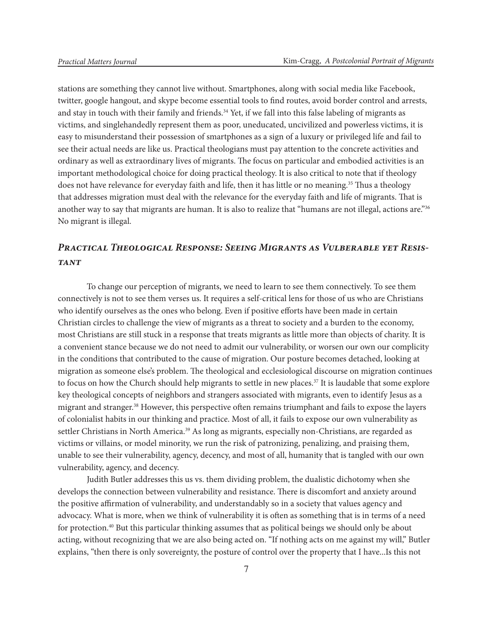stations are something they cannot live without. Smartphones, along with social media like Facebook, twitter, google hangout, and skype become essential tools to find routes, avoid border control and arrests, and stay in touch with their family and friends.<sup>34</sup> Yet, if we fall into this false labeling of migrants as victims, and singlehandedly represent them as poor, uneducated, uncivilized and powerless victims, it is easy to misunderstand their possession of smartphones as a sign of a luxury or privileged life and fail to see their actual needs are like us. Practical theologians must pay attention to the concrete activities and ordinary as well as extraordinary lives of migrants. The focus on particular and embodied activities is an important methodological choice for doing practical theology. It is also critical to note that if theology does not have relevance for everyday faith and life, then it has little or no meaning.<sup>35</sup> Thus a theology that addresses migration must deal with the relevance for the everyday faith and life of migrants. That is another way to say that migrants are human. It is also to realize that "humans are not illegal, actions are."36 No migrant is illegal.

# *Practical Theological Response: Seeing Migrants as Vulberable yet Resistant*

To change our perception of migrants, we need to learn to see them connectively. To see them connectively is not to see them verses us. It requires a self-critical lens for those of us who are Christians who identify ourselves as the ones who belong. Even if positive efforts have been made in certain Christian circles to challenge the view of migrants as a threat to society and a burden to the economy, most Christians are still stuck in a response that treats migrants as little more than objects of charity. It is a convenient stance because we do not need to admit our vulnerability, or worsen our own our complicity in the conditions that contributed to the cause of migration. Our posture becomes detached, looking at migration as someone else's problem. The theological and ecclesiological discourse on migration continues to focus on how the Church should help migrants to settle in new places.<sup>37</sup> It is laudable that some explore key theological concepts of neighbors and strangers associated with migrants, even to identify Jesus as a migrant and stranger.<sup>38</sup> However, this perspective often remains triumphant and fails to expose the layers of colonialist habits in our thinking and practice. Most of all, it fails to expose our own vulnerability as settler Christians in North America.<sup>39</sup> As long as migrants, especially non-Christians, are regarded as victims or villains, or model minority, we run the risk of patronizing, penalizing, and praising them, unable to see their vulnerability, agency, decency, and most of all, humanity that is tangled with our own vulnerability, agency, and decency.

Judith Butler addresses this us vs. them dividing problem, the dualistic dichotomy when she develops the connection between vulnerability and resistance. There is discomfort and anxiety around the positive affirmation of vulnerability, and understandably so in a society that values agency and advocacy. What is more, when we think of vulnerability it is often as something that is in terms of a need for protection.40 But this particular thinking assumes that as political beings we should only be about acting, without recognizing that we are also being acted on. "If nothing acts on me against my will," Butler explains, "then there is only sovereignty, the posture of control over the property that I have...Is this not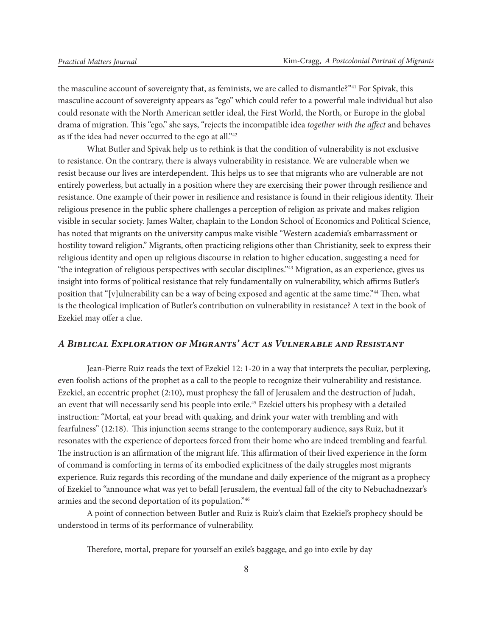the masculine account of sovereignty that, as feminists, we are called to dismantle?"<sup>41</sup> For Spivak, this masculine account of sovereignty appears as "ego" which could refer to a powerful male individual but also could resonate with the North American settler ideal, the First World, the North, or Europe in the global drama of migration. This "ego," she says, "rejects the incompatible idea *together with the affect* and behaves as if the idea had never occurred to the ego at all."<sup>42</sup>

What Butler and Spivak help us to rethink is that the condition of vulnerability is not exclusive to resistance. On the contrary, there is always vulnerability in resistance. We are vulnerable when we resist because our lives are interdependent. This helps us to see that migrants who are vulnerable are not entirely powerless, but actually in a position where they are exercising their power through resilience and resistance. One example of their power in resilience and resistance is found in their religious identity. Their religious presence in the public sphere challenges a perception of religion as private and makes religion visible in secular society. James Walter, chaplain to the London School of Economics and Political Science, has noted that migrants on the university campus make visible "Western academia's embarrassment or hostility toward religion." Migrants, often practicing religions other than Christianity, seek to express their religious identity and open up religious discourse in relation to higher education, suggesting a need for "the integration of religious perspectives with secular disciplines."43 Migration, as an experience, gives us insight into forms of political resistance that rely fundamentally on vulnerability, which affirms Butler's position that "[v]ulnerability can be a way of being exposed and agentic at the same time."<sup>44</sup> Then, what is the theological implication of Butler's contribution on vulnerability in resistance? A text in the book of Ezekiel may offer a clue.

## *A Biblical Exploration of Migrants' Act as Vulnerable and Resistant*

Jean-Pierre Ruiz reads the text of Ezekiel 12: 1-20 in a way that interprets the peculiar, perplexing, even foolish actions of the prophet as a call to the people to recognize their vulnerability and resistance. Ezekiel, an eccentric prophet (2:10), must prophesy the fall of Jerusalem and the destruction of Judah, an event that will necessarily send his people into exile.45 Ezekiel utters his prophesy with a detailed instruction: "Mortal, eat your bread with quaking, and drink your water with trembling and with fearfulness" (12:18). This injunction seems strange to the contemporary audience, says Ruiz, but it resonates with the experience of deportees forced from their home who are indeed trembling and fearful. The instruction is an affirmation of the migrant life. This affirmation of their lived experience in the form of command is comforting in terms of its embodied explicitness of the daily struggles most migrants experience. Ruiz regards this recording of the mundane and daily experience of the migrant as a prophecy of Ezekiel to "announce what was yet to befall Jerusalem, the eventual fall of the city to Nebuchadnezzar's armies and the second deportation of its population."46

A point of connection between Butler and Ruiz is Ruiz's claim that Ezekiel's prophecy should be understood in terms of its performance of vulnerability.

Therefore, mortal, prepare for yourself an exile's baggage, and go into exile by day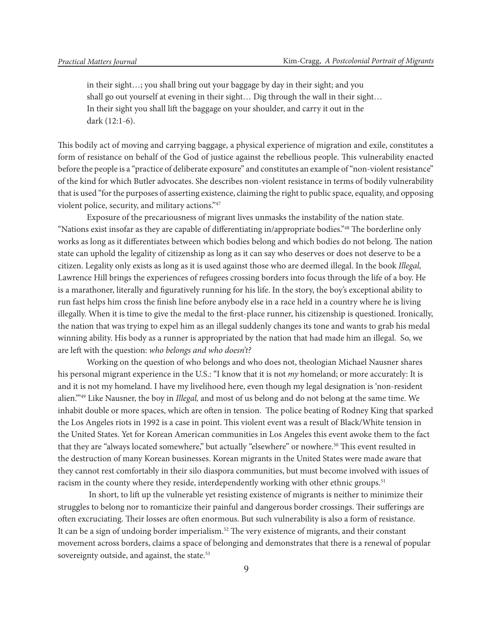in their sight…; you shall bring out your baggage by day in their sight; and you shall go out yourself at evening in their sight… Dig through the wall in their sight… In their sight you shall lift the baggage on your shoulder, and carry it out in the dark (12:1-6).

This bodily act of moving and carrying baggage, a physical experience of migration and exile, constitutes a form of resistance on behalf of the God of justice against the rebellious people. This vulnerability enacted before the people is a "practice of deliberate exposure" and constitutes an example of "non-violent resistance" of the kind for which Butler advocates. She describes non-violent resistance in terms of bodily vulnerability that is used "for the purposes of asserting existence, claiming the right to public space, equality, and opposing violent police, security, and military actions."47

Exposure of the precariousness of migrant lives unmasks the instability of the nation state. "Nations exist insofar as they are capable of differentiating in/appropriate bodies."48 The borderline only works as long as it differentiates between which bodies belong and which bodies do not belong. The nation state can uphold the legality of citizenship as long as it can say who deserves or does not deserve to be a citizen. Legality only exists as long as it is used against those who are deemed illegal. In the book *Illegal,* Lawrence Hill brings the experiences of refugees crossing borders into focus through the life of a boy. He is a marathoner, literally and figuratively running for his life. In the story, the boy's exceptional ability to run fast helps him cross the finish line before anybody else in a race held in a country where he is living illegally. When it is time to give the medal to the first-place runner, his citizenship is questioned. Ironically, the nation that was trying to expel him as an illegal suddenly changes its tone and wants to grab his medal winning ability. His body as a runner is appropriated by the nation that had made him an illegal. So, we are left with the question: *who belongs and who doesn't?*

Working on the question of who belongs and who does not, theologian Michael Nausner shares his personal migrant experience in the U.S.: "I know that it is not *my* homeland; or more accurately: It is and it is not my homeland. I have my livelihood here, even though my legal designation is 'non-resident alien.'"49 Like Nausner, the boy in *Illegal,* and most of us belong and do not belong at the same time. We inhabit double or more spaces, which are often in tension. The police beating of Rodney King that sparked the Los Angeles riots in 1992 is a case in point. This violent event was a result of Black/White tension in the United States. Yet for Korean American communities in Los Angeles this event awoke them to the fact that they are "always located somewhere," but actually "elsewhere" or nowhere.<sup>50</sup> This event resulted in the destruction of many Korean businesses. Korean migrants in the United States were made aware that they cannot rest comfortably in their silo diaspora communities, but must become involved with issues of racism in the county where they reside, interdependently working with other ethnic groups.<sup>51</sup>

 In short, to lift up the vulnerable yet resisting existence of migrants is neither to minimize their struggles to belong nor to romanticize their painful and dangerous border crossings. Their sufferings are often excruciating. Their losses are often enormous. But such vulnerability is also a form of resistance. It can be a sign of undoing border imperialism.<sup>52</sup> The very existence of migrants, and their constant movement across borders, claims a space of belonging and demonstrates that there is a renewal of popular sovereignty outside, and against, the state.<sup>53</sup>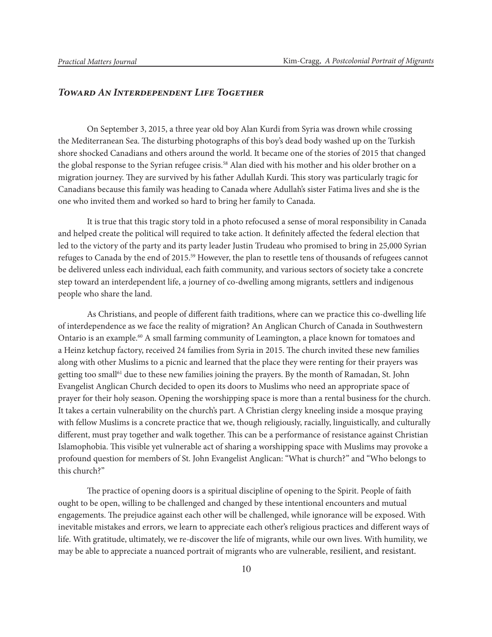## *Toward An Interdependent Life Together*

On September 3, 2015, a three year old boy Alan Kurdi from Syria was drown while crossing the Mediterranean Sea. The disturbing photographs of this boy's dead body washed up on the Turkish shore shocked Canadians and others around the world. It became one of the stories of 2015 that changed the global response to the Syrian refugee crisis.<sup>58</sup> Alan died with his mother and his older brother on a migration journey. They are survived by his father Adullah Kurdi. This story was particularly tragic for Canadians because this family was heading to Canada where Adullah's sister Fatima lives and she is the one who invited them and worked so hard to bring her family to Canada.

It is true that this tragic story told in a photo refocused a sense of moral responsibility in Canada and helped create the political will required to take action. It definitely affected the federal election that led to the victory of the party and its party leader Justin Trudeau who promised to bring in 25,000 Syrian refuges to Canada by the end of 2015.59 However, the plan to resettle tens of thousands of refugees cannot be delivered unless each individual, each faith community, and various sectors of society take a concrete step toward an interdependent life, a journey of co-dwelling among migrants, settlers and indigenous people who share the land.

As Christians, and people of different faith traditions, where can we practice this co-dwelling life of interdependence as we face the reality of migration? An Anglican Church of Canada in Southwestern Ontario is an example.60 A small farming community of Leamington, a place known for tomatoes and a Heinz ketchup factory, received 24 families from Syria in 2015. The church invited these new families along with other Muslims to a picnic and learned that the place they were renting for their prayers was getting too small<sup>61</sup> due to these new families joining the prayers. By the month of Ramadan, St. John Evangelist Anglican Church decided to open its doors to Muslims who need an appropriate space of prayer for their holy season. Opening the worshipping space is more than a rental business for the church. It takes a certain vulnerability on the church's part. A Christian clergy kneeling inside a mosque praying with fellow Muslims is a concrete practice that we, though religiously, racially, linguistically, and culturally different, must pray together and walk together. This can be a performance of resistance against Christian Islamophobia. This visible yet vulnerable act of sharing a worshipping space with Muslims may provoke a profound question for members of St. John Evangelist Anglican: "What is church?" and "Who belongs to this church?"

The practice of opening doors is a spiritual discipline of opening to the Spirit. People of faith ought to be open, willing to be challenged and changed by these intentional encounters and mutual engagements. The prejudice against each other will be challenged, while ignorance will be exposed. With inevitable mistakes and errors, we learn to appreciate each other's religious practices and different ways of life. With gratitude, ultimately, we re-discover the life of migrants, while our own lives. With humility, we may be able to appreciate a nuanced portrait of migrants who are vulnerable, resilient, and resistant.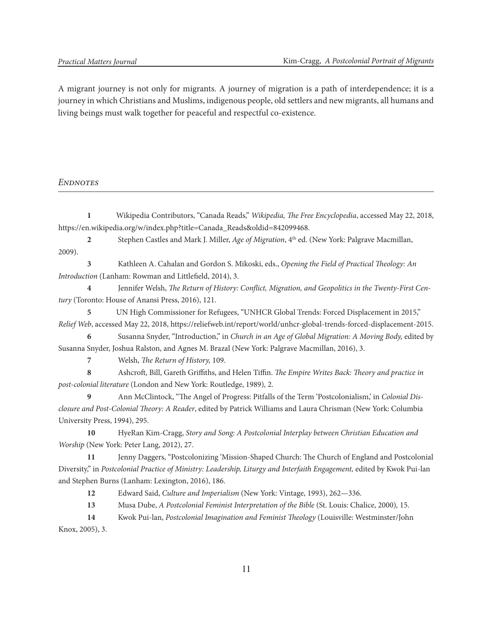A migrant journey is not only for migrants. A journey of migration is a path of interdependence; it is a journey in which Christians and Muslims, indigenous people, old settlers and new migrants, all humans and living beings must walk together for peaceful and respectful co-existence.

#### *Endnotes*

**1** Wikipedia Contributors, "Canada Reads," *Wikipedia, The Free Encyclopedia*, accessed May 22, 2018, https://en.wikipedia.org/w/index.php?title=Canada\_Reads&oldid=842099468.

2 Stephen Castles and Mark J. Miller, *Age of Migration*, 4<sup>th</sup> ed. (New York: Palgrave Macmillan, 2009).

**3** Kathleen A. Cahalan and Gordon S. Mikoski, eds., *Opening the Field of Practical Theology: An Introduction* (Lanham: Rowman and Littlefield, 2014), 3.

**4** Jennifer Welsh, *The Return of History: Conflict, Migration, and Geopolitics in the Twenty-First Century* (Toronto: House of Anansi Press, 2016), 121.

**5** UN High Commissioner for Refugees, "UNHCR Global Trends: Forced Displacement in 2015," *Relief Web*, accessed May 22, 2018, https://reliefweb.int/report/world/unhcr-global-trends-forced-displacement-2015.

**6** Susanna Snyder, "Introduction," in *Church in an Age of Global Migration: A Moving Body,* edited by Susanna Snyder, Joshua Ralston, and Agnes M. Brazal (New York: Palgrave Macmillan, 2016), 3.

**7** Welsh, *The Return of History,* 109.

**8** Ashcroft, Bill, Gareth Griffiths, and Helen Tiffin. *The Empire Writes Back: Theory and practice in post-colonial literature* (London and New York: Routledge, 1989)*,* 2.

**9** Ann McClintock, "The Angel of Progress: Pitfalls of the Term 'Postcolonialism,' in *Colonial Disclosure and Post-Colonial Theory: A Reader*, edited by Patrick Williams and Laura Chrisman (New York: Columbia University Press, 1994), 295.

**10** HyeRan Kim-Cragg, *Story and Song: A Postcolonial Interplay between Christian Education and Worship* (New York: Peter Lang, 2012), 27.

**11** Jenny Daggers, "Postcolonizing 'Mission-Shaped Church: The Church of England and Postcolonial Diversity," in *Postcolonial Practice of Ministry: Leadership, Liturgy and Interfaith Engagement,* edited by Kwok Pui-lan and Stephen Burns (Lanham: Lexington, 2016), 186.

**12** Edward Said, *Culture and Imperialism* (New York: Vintage, 1993), 262—336.

**13** Musa Dube, *A Postcolonial Feminist Interpretation of the Bible* (St. Louis: Chalice, 2000)*,* 15.

**14** Kwok Pui-lan, *Postcolonial Imagination and Feminist Theology* (Louisville: Westminster/John Knox, 2005), 3.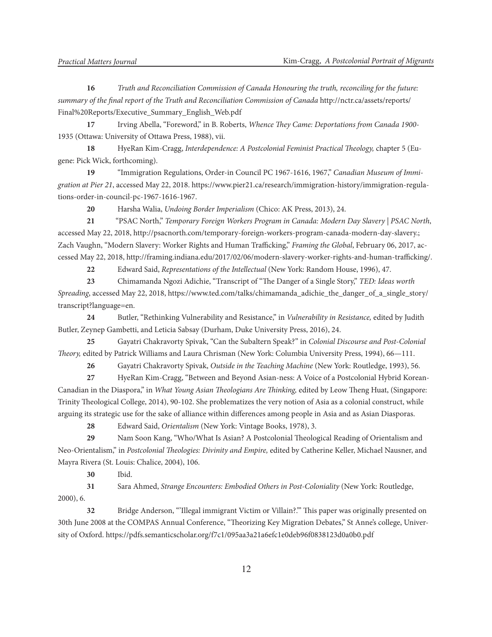**16** *Truth and Reconciliation Commission of Canada Honouring the truth, reconciling for the future: summary of the final report of the Truth and Reconciliation Commission of Canada* http://nctr.ca/assets/reports/ Final%20Reports/Executive\_Summary\_English\_Web.pdf

**17** Irving Abella, "Foreword," in B. Roberts, *Whence They Came: Deportations from Canada 1900-* 1935 (Ottawa: University of Ottawa Press, 1988), vii.

**18** HyeRan Kim-Cragg, *Interdependence: A Postcolonial Feminist Practical Theology,* chapter 5 (Eugene: Pick Wick, forthcoming).

**19** "Immigration Regulations, Order-in Council PC 1967-1616, 1967," *Canadian Museum of Immigration at Pier 21*, accessed May 22, 2018. https://www.pier21.ca/research/immigration-history/immigration-regulations-order-in-council-pc-1967-1616-1967.

**20** Harsha Walia, *Undoing Border Imperialism* (Chico: AK Press, 2013), 24.

**21** "PSAC North," *Temporary Foreign Workers Program in Canada: Modern Day Slavery | PSAC North*, accessed May 22, 2018, http://psacnorth.com/temporary-foreign-workers-program-canada-modern-day-slavery.; Zach Vaughn, "Modern Slavery: Worker Rights and Human Trafficking," *Framing the Global*, February 06, 2017, accessed May 22, 2018, http://framing.indiana.edu/2017/02/06/modern-slavery-worker-rights-and-human-trafficking/.

**22** Edward Said, *Representations of the Intellectual* (New York: Random House, 1996), 47.

**23** Chimamanda Ngozi Adichie, "Transcript of "The Danger of a Single Story," *TED: Ideas worth Spreading*, accessed May 22, 2018, https://www.ted.com/talks/chimamanda\_adichie\_the\_danger\_of\_a\_single\_story/ transcript?language=en.

**24** Butler, "Rethinking Vulnerability and Resistance," in *Vulnerability in Resistance,* edited by Judith Butler, Zeynep Gambetti, and Leticia Sabsay (Durham, Duke University Press, 2016), 24.

**25** Gayatri Chakravorty Spivak, "Can the Subaltern Speak?" in *Colonial Discourse and Post-Colonial Theory,* edited by Patrick Williams and Laura Chrisman (New York: Columbia University Press, 1994), 66—111.

**26** Gayatri Chakravorty Spivak, *Outside in the Teaching Machine* (New York: Routledge, 1993), 56.

**27** HyeRan Kim-Cragg, "Between and Beyond Asian-ness: A Voice of a Postcolonial Hybrid Korean-Canadian in the Diaspora," in *What Young Asian Theologians Are Thinking,* edited by Leow Theng Huat, (Singapore: Trinity Theological College, 2014), 90-102. She problematizes the very notion of Asia as a colonial construct, while arguing its strategic use for the sake of alliance within differences among people in Asia and as Asian Diasporas.

**28** Edward Said, *Orientalism* (New York: Vintage Books, 1978), 3.

**29** Nam Soon Kang, "Who/What Is Asian? A Postcolonial Theological Reading of Orientalism and Neo-Orientalism," in *Postcolonial Theologies: Divinity and Empire,* edited by Catherine Keller, Michael Nausner, and Mayra Rivera (St. Louis: Chalice, 2004), 106.

**30** Ibid.

**31** Sara Ahmed, *Strange Encounters: Embodied Others in Post-Coloniality* (New York: Routledge, 2000), 6.

**32** Bridge Anderson, "'Illegal immigrant Victim or Villain?.'" This paper was originally presented on 30th June 2008 at the COMPAS Annual Conference, "Theorizing Key Migration Debates," St Anne's college, University of Oxford. https://pdfs.semanticscholar.org/f7c1/095aa3a21a6efc1e0deb96f0838123d0a0b0.pdf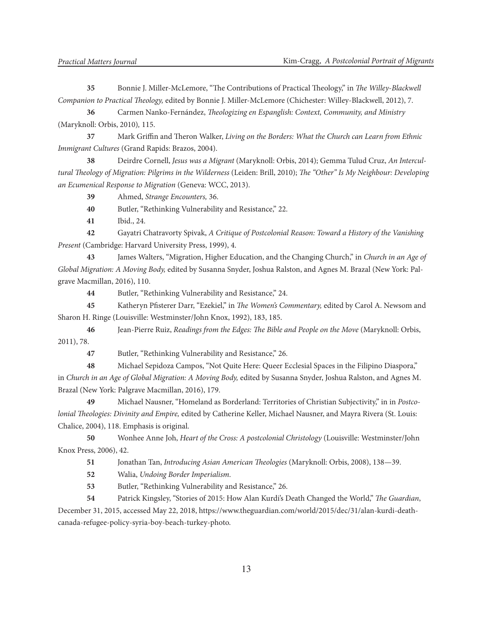**35** Bonnie J. Miller-McLemore, "The Contributions of Practical Theology," in *The Willey-Blackwell Companion to Practical Theology,* edited by Bonnie J. Miller-McLemore (Chichester: Willey-Blackwell, 2012), 7.

**36** Carmen Nanko-Fernández, *Theologizing en Espanglish: Context, Community, and Ministry*  (Maryknoll: Orbis, 2010)*,* 115.

**37** Mark Griffin and Theron Walker, *Living on the Borders: What the Church can Learn from Ethnic Immigrant Cultures* (Grand Rapids: Brazos, 2004).

**38** Deirdre Cornell, *Jesus was a Migrant* (Maryknoll: Orbis, 2014); Gemma Tulud Cruz, *An Intercultural Theology of Migration: Pilgrims in the Wilderness* (Leiden: Brill, 2010); *The "Other" Is My Neighbour: Developing an Ecumenical Response to Migration* (Geneva: WCC, 2013).

**39** Ahmed, *Strange Encounters,* 36.

**40** Butler, "Rethinking Vulnerability and Resistance," 22.

**41** Ibid., 24.

**42** Gayatri Chatravorty Spivak, *A Critique of Postcolonial Reason: Toward a History of the Vanishing Present* (Cambridge: Harvard University Press, 1999), 4.

**43** James Walters, "Migration, Higher Education, and the Changing Church," in *Church in an Age of Global Migration: A Moving Body,* edited by Susanna Snyder, Joshua Ralston, and Agnes M. Brazal (New York: Palgrave Macmillan, 2016), 110.

**44** Butler, "Rethinking Vulnerability and Resistance," 24.

**45** Katheryn Pfisterer Darr, "Ezekiel," in *The Women's Commentary,* edited by Carol A. Newsom and Sharon H. Ringe (Louisville: Westminster/John Knox, 1992), 183, 185.

**46** Jean-Pierre Ruiz, *Readings from the Edges: The Bible and People on the Move* (Maryknoll: Orbis, 2011), 78.

**47** Butler, "Rethinking Vulnerability and Resistance," 26.

**48** Michael Sepidoza Campos, "Not Quite Here: Queer Ecclesial Spaces in the Filipino Diaspora," in *Church in an Age of Global Migration: A Moving Body,* edited by Susanna Snyder, Joshua Ralston, and Agnes M. Brazal (New York: Palgrave Macmillan, 2016), 179.

**49** Michael Nausner, "Homeland as Borderland: Territories of Christian Subjectivity," in in *Postcolonial Theologies: Divinity and Empire,* edited by Catherine Keller, Michael Nausner, and Mayra Rivera (St. Louis: Chalice, 2004), 118. Emphasis is original.

**50** Wonhee Anne Joh, *Heart of the Cross: A postcolonial Christology* (Louisville: Westminster/John Knox Press, 2006), 42.

**51** Jonathan Tan, *Introducing Asian American Theologies* (Maryknoll: Orbis, 2008), 138—39.

**52** Walia, *Undoing Border Imperialism*.

**53** Butler, "Rethinking Vulnerability and Resistance," 26.

**54** Patrick Kingsley, "Stories of 2015: How Alan Kurdi's Death Changed the World," *The Guardian*, December 31, 2015, accessed May 22, 2018, https://www.theguardian.com/world/2015/dec/31/alan-kurdi-deathcanada-refugee-policy-syria-boy-beach-turkey-photo.